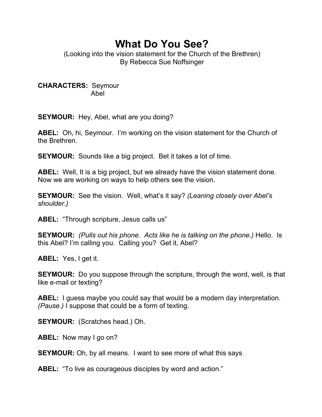## **What Do You See?**

(Looking into the vision statement for the Church of the Brethren) By Rebecca Sue Noffsinger

**CHARACTERS:** Seymour Abel

**SEYMOUR:** Hey, Abel, what are you doing?

**ABEL:** Oh, hi, Seymour. I'm working on the vision statement for the Church of the Brethren.

**SEYMOUR:** Sounds like a big project. Bet it takes a lot of time.

**ABEL:** Well, It is a big project, but we already have the vision statement done. Now we are working on ways to help others see the vision.

**SEYMOUR:** See the vision. Well, what's it say? *(Leaning closely over Abel's shoulder.)* 

**ABEL:** "Through scripture, Jesus calls us"

**SEYMOUR:** *(Pulls out his phone. Acts like he is talking on the phone.)* Hello. Is this Abel? I'm calling you. Calling you? Get it, Abel?

**ABEL:** Yes, I get it.

**SEYMOUR:** Do you suppose through the scripture, through the word, well, is that like e-mail or texting?

**ABEL:** I guess maybe you could say that would be a modern day interpretation. *(Pause.)* I suppose that could be a form of texting.

**SEYMOUR:** (Scratches head.) Oh.

**ABEL:** Now may I go on?

**SEYMOUR:** Oh, by all means. I want to see more of what this says

**ABEL:** "To live as courageous disciples by word and action."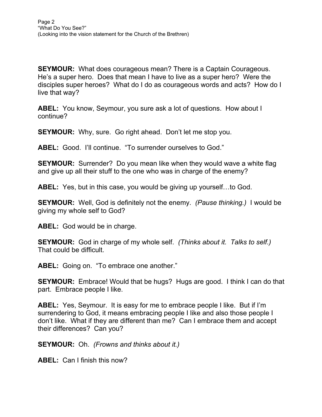**SEYMOUR:** What does courageous mean? There is a Captain Courageous. He's a super hero. Does that mean I have to live as a super hero? Were the disciples super heroes? What do I do as courageous words and acts? How do I live that way?

**ABEL:** You know, Seymour, you sure ask a lot of questions. How about I continue?

**SEYMOUR:** Why, sure. Go right ahead. Don't let me stop you.

**ABEL:** Good. I'll continue. "To surrender ourselves to God."

**SEYMOUR:** Surrender? Do you mean like when they would wave a white flag and give up all their stuff to the one who was in charge of the enemy?

**ABEL:** Yes, but in this case, you would be giving up yourself…to God.

**SEYMOUR:** Well, God is definitely not the enemy. *(Pause thinking.)* I would be giving my whole self to God?

**ABEL:** God would be in charge.

**SEYMOUR:** God in charge of my whole self. *(Thinks about it. Talks to self.)* That could be difficult.

**ABEL:** Going on. "To embrace one another."

**SEYMOUR:** Embrace! Would that be hugs? Hugs are good. I think I can do that part. Embrace people I like.

**ABEL:** Yes, Seymour. It is easy for me to embrace people I like. But if I'm surrendering to God, it means embracing people I like and also those people I don't like. What if they are different than me? Can I embrace them and accept their differences? Can you?

**SEYMOUR:** Oh. *(Frowns and thinks about it.)* 

**ABEL:** Can I finish this now?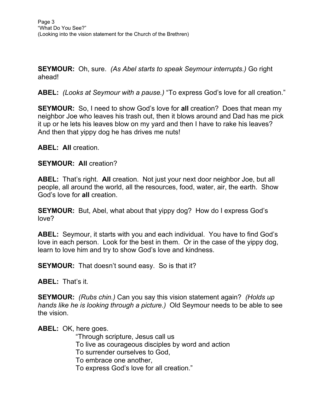**SEYMOUR:** Oh, sure. *(As Abel starts to speak Seymour interrupts.)* Go right ahead!

**ABEL:** *(Looks at Seymour with a pause.)* "To express God's love for all creation."

**SEYMOUR:** So, I need to show God's love for **all** creation? Does that mean my neighbor Joe who leaves his trash out, then it blows around and Dad has me pick it up or he lets his leaves blow on my yard and then I have to rake his leaves? And then that yippy dog he has drives me nuts!

**ABEL: All** creation.

## **SEYMOUR: All** creation?

**ABEL:** That's right. **All** creation. Not just your next door neighbor Joe, but all people, all around the world, all the resources, food, water, air, the earth. Show God's love for **all** creation.

**SEYMOUR:** But, Abel, what about that yippy dog? How do I express God's love?

**ABEL:** Seymour, it starts with you and each individual. You have to find God's love in each person. Look for the best in them. Or in the case of the yippy dog, learn to love him and try to show God's love and kindness.

**SEYMOUR:** That doesn't sound easy. So is that it?

**ABEL:** That's it.

**SEYMOUR:** *(Rubs chin.)* Can you say this vision statement again? *(Holds up hands like he is looking through a picture.)* Old Seymour needs to be able to see the vision.

**ABEL:** OK, here goes.

 "Through scripture, Jesus call us To live as courageous disciples by word and action To surrender ourselves to God, To embrace one another, To express God's love for all creation."